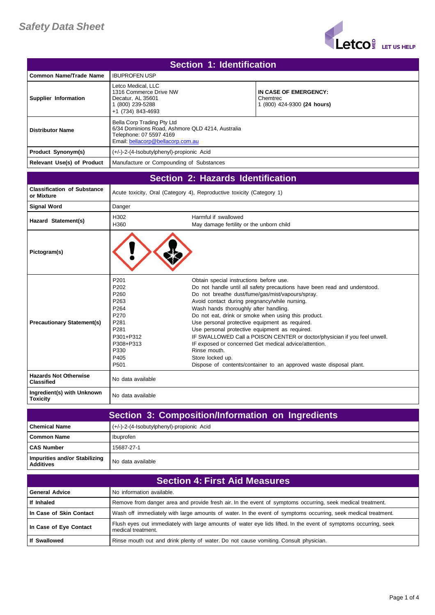

| Section 1: Identification  |                                                                                                                                                |                                                                  |
|----------------------------|------------------------------------------------------------------------------------------------------------------------------------------------|------------------------------------------------------------------|
| Common Name/Trade Name     | <b>IBUPROFEN USP</b>                                                                                                                           |                                                                  |
| Supplier Information       | Letco Medical, LLC<br>1316 Commerce Drive NW<br>Decatur, AL 35601<br>(800) 239-5288<br>+1 (734) 843-4693                                       | IN CASE OF EMERGENCY:<br>Chemtrec<br>1 (800) 424-9300 (24 hours) |
| <b>Distributor Name</b>    | Bella Corp Trading Pty Ltd<br>6/34 Dominions Road, Ashmore QLD 4214, Australia<br>Telephone: 07 5597 4169<br>Email: bellacorp@bellacorp.com.au |                                                                  |
| Product Synonym(s)         | (+/-)-2-(4-Isobutylphenyl)-propionic Acid                                                                                                      |                                                                  |
| Relevant Use(s) of Product | Manufacture or Compounding of Substances                                                                                                       |                                                                  |

|                                                   |                                                                                                                                                                            | Section 2: Hazards Identification                                                                                                                                                                                                                                                                                                                                                                                                                                                                                                                                                                                                                                             |
|---------------------------------------------------|----------------------------------------------------------------------------------------------------------------------------------------------------------------------------|-------------------------------------------------------------------------------------------------------------------------------------------------------------------------------------------------------------------------------------------------------------------------------------------------------------------------------------------------------------------------------------------------------------------------------------------------------------------------------------------------------------------------------------------------------------------------------------------------------------------------------------------------------------------------------|
| <b>Classification of Substance</b><br>or Mixture  |                                                                                                                                                                            | Acute toxicity, Oral (Category 4), Reproductive toxicity (Category 1)                                                                                                                                                                                                                                                                                                                                                                                                                                                                                                                                                                                                         |
| <b>Signal Word</b>                                | Danger                                                                                                                                                                     |                                                                                                                                                                                                                                                                                                                                                                                                                                                                                                                                                                                                                                                                               |
| Hazard Statement(s)                               | H302<br>H360                                                                                                                                                               | Harmful if swallowed<br>May damage fertility or the unborn child                                                                                                                                                                                                                                                                                                                                                                                                                                                                                                                                                                                                              |
| Pictogram(s)                                      |                                                                                                                                                                            |                                                                                                                                                                                                                                                                                                                                                                                                                                                                                                                                                                                                                                                                               |
| <b>Precautionary Statement(s)</b>                 | P <sub>201</sub><br>P <sub>202</sub><br>P <sub>260</sub><br>P263<br>P <sub>264</sub><br>P <sub>270</sub><br>P281<br>P281<br>P301+P312<br>P308+P313<br>P330<br>P405<br>P501 | Obtain special instructions before use.<br>Do not handle until all safety precautions have been read and understood.<br>Do not breathe dust/fume/gas/mist/vapours/spray.<br>Avoid contact during pregnancy/while nursing.<br>Wash hands thoroughly after handling.<br>Do not eat, drink or smoke when using this product.<br>Use personal protective equipment as required.<br>Use personal protective equipment as required.<br>IF SWALLOWED Call a POISON CENTER or doctor/physician if you feel unwell.<br>IF exposed or concerned Get medical advice/attention.<br>Rinse mouth.<br>Store locked up.<br>Dispose of contents/container to an approved waste disposal plant. |
| <b>Hazards Not Otherwise</b><br><b>Classified</b> | No data available                                                                                                                                                          |                                                                                                                                                                                                                                                                                                                                                                                                                                                                                                                                                                                                                                                                               |
| Ingredient(s) with Unknown<br><b>Toxicity</b>     | No data available                                                                                                                                                          |                                                                                                                                                                                                                                                                                                                                                                                                                                                                                                                                                                                                                                                                               |

| Section 3: Composition/Information on Ingredients |                                           |  |
|---------------------------------------------------|-------------------------------------------|--|
| l Chemical Name                                   | (+/-)-2-(4-Isobutylphenyl)-propionic Acid |  |
| <b>Common Name</b>                                | Ibuprofen                                 |  |
| <b>CAS Number</b>                                 | 15687-27-1                                |  |
| Impurities and/or Stabilizing<br><b>Additives</b> | No data available                         |  |

| <b>Section 4: First Aid Measures,</b> |                                                                                                                                        |
|---------------------------------------|----------------------------------------------------------------------------------------------------------------------------------------|
| <b>General Advice</b>                 | No information available.                                                                                                              |
| If Inhaled                            | Remove from danger area and provide fresh air. In the event of symptoms occurring, seek medical treatment.                             |
| In Case of Skin Contact               | Wash off immediately with large amounts of water. In the event of symptoms occurring, seek medical treatment.                          |
| In Case of Eye Contact                | Flush eyes out immediately with large amounts of water eye lids lifted. In the event of symptoms occurring, seek<br>medical treatment. |
| <b>If Swallowed</b>                   | Rinse mouth out and drink plenty of water. Do not cause vomiting. Consult physician.                                                   |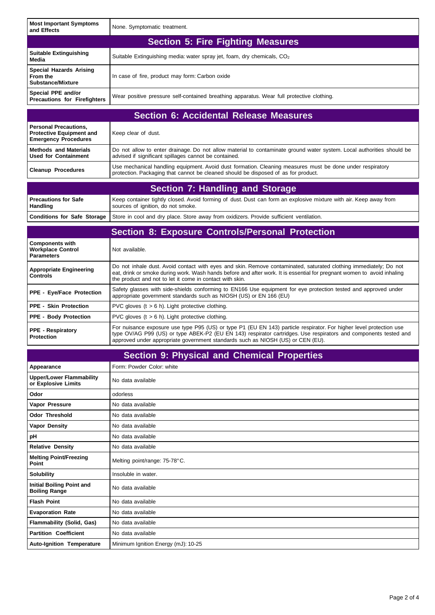| <b>Most Important Symptoms</b><br>and Effects                                                  | None. Symptomatic treatment.                                                                                                                                                                                                                                                                                               |  |
|------------------------------------------------------------------------------------------------|----------------------------------------------------------------------------------------------------------------------------------------------------------------------------------------------------------------------------------------------------------------------------------------------------------------------------|--|
|                                                                                                | <b>Section 5: Fire Fighting Measures</b>                                                                                                                                                                                                                                                                                   |  |
| <b>Suitable Extinguishing</b><br>Media                                                         | Suitable Extinguishing media: water spray jet, foam, dry chemicals, $CO2$                                                                                                                                                                                                                                                  |  |
| <b>Special Hazards Arising</b><br>From the<br><b>Substance/Mixture</b>                         | In case of fire, product may form: Carbon oxide                                                                                                                                                                                                                                                                            |  |
| Special PPE and/or<br><b>Precautions for Firefighters</b>                                      | Wear positive pressure self-contained breathing apparatus. Wear full protective clothing.                                                                                                                                                                                                                                  |  |
|                                                                                                | <b>Section 6: Accidental Release Measures</b>                                                                                                                                                                                                                                                                              |  |
| <b>Personal Precautions,</b><br><b>Protective Equipment and</b><br><b>Emergency Procedures</b> | Keep clear of dust.                                                                                                                                                                                                                                                                                                        |  |
| <b>Methods and Materials</b><br><b>Used for Containment</b>                                    | Do not allow to enter drainage. Do not allow material to contaminate ground water system. Local authorities should be<br>advised if significant spillages cannot be contained.                                                                                                                                             |  |
| <b>Cleanup Procedures</b>                                                                      | Use mechanical handling equipment. Avoid dust formation. Cleaning measures must be done under respiratory<br>protection. Packaging that cannot be cleaned should be disposed of as for product.                                                                                                                            |  |
|                                                                                                | <b>Section 7: Handling and Storage</b>                                                                                                                                                                                                                                                                                     |  |
| <b>Precautions for Safe</b><br>Handling                                                        | Keep container tightly closed. Avoid forming of dust. Dust can form an explosive mixture with air. Keep away from<br>sources of ignition, do not smoke.                                                                                                                                                                    |  |
| <b>Conditions for Safe Storage</b>                                                             | Store in cool and dry place. Store away from oxidizers. Provide sufficient ventilation.                                                                                                                                                                                                                                    |  |
|                                                                                                | <b>Section 8: Exposure Controls/Personal Protection</b>                                                                                                                                                                                                                                                                    |  |
| <b>Components with</b><br><b>Workplace Control</b><br><b>Parameters</b>                        | Not available.                                                                                                                                                                                                                                                                                                             |  |
| <b>Appropriate Engineering</b><br><b>Controls</b>                                              | Do not inhale dust. Avoid contact with eyes and skin. Remove contaminated, saturated clothing immediately; Do not<br>eat, drink or smoke during work. Wash hands before and after work. It is essential for pregnant women to avoid inhaling<br>the product and not to let it come in contact with skin.                   |  |
| <b>PPE - Eye/Face Protection</b>                                                               | Safety glasses with side-shields conforming to EN166 Use equipment for eye protection tested and approved under<br>appropriate government standards such as NIOSH (US) or EN 166 (EU)                                                                                                                                      |  |
| <b>PPE - Skin Protection</b>                                                                   | PVC gloves $(t > 6 h)$ . Light protective clothing.                                                                                                                                                                                                                                                                        |  |
| <b>PPE - Body Protection</b>                                                                   | PVC gloves $(t > 6 h)$ . Light protective clothing.                                                                                                                                                                                                                                                                        |  |
| <b>PPE - Respiratory</b><br><b>Protection</b>                                                  | For nuisance exposure use type P95 (US) or type P1 (EU EN 143) particle respirator. For higher level protection use<br>type OV/AG P99 (US) or type ABEK-P2 (EU EN 143) respirator cartridges. Use respirators and components tested and<br>approved under appropriate government standards such as NIOSH (US) or CEN (EU). |  |
|                                                                                                | <b>Section 9: Physical and Chemical Properties</b>                                                                                                                                                                                                                                                                         |  |
| Appearance                                                                                     | Form: Powder Color: white                                                                                                                                                                                                                                                                                                  |  |
| <b>Upper/Lower Flammability</b><br>or Explosive Limits                                         | No data available                                                                                                                                                                                                                                                                                                          |  |
| Odor                                                                                           | odorless                                                                                                                                                                                                                                                                                                                   |  |
| Vapor Pressure                                                                                 | No data available                                                                                                                                                                                                                                                                                                          |  |
| <b>Odor Threshold</b>                                                                          | No data available                                                                                                                                                                                                                                                                                                          |  |
| <b>Vapor Density</b>                                                                           | No data available                                                                                                                                                                                                                                                                                                          |  |
| рH                                                                                             | No data available                                                                                                                                                                                                                                                                                                          |  |
| <b>Relative Density</b>                                                                        | No data available                                                                                                                                                                                                                                                                                                          |  |
| <b>Melting Point/Freezing</b><br>Point                                                         | Melting point/range: 75-78°C.                                                                                                                                                                                                                                                                                              |  |
| <b>Solubility</b>                                                                              | Insoluble in water.                                                                                                                                                                                                                                                                                                        |  |
| <b>Initial Boiling Point and</b><br><b>Boiling Range</b>                                       | No data available                                                                                                                                                                                                                                                                                                          |  |
| <b>Flash Point</b>                                                                             | No data available                                                                                                                                                                                                                                                                                                          |  |
| <b>Evaporation Rate</b>                                                                        | No data available                                                                                                                                                                                                                                                                                                          |  |
| <b>Flammability (Solid, Gas)</b>                                                               | No data available                                                                                                                                                                                                                                                                                                          |  |
| <b>Partition Coefficient</b>                                                                   | No data available                                                                                                                                                                                                                                                                                                          |  |
| <b>Auto-Ignition Temperature</b>                                                               | Minimum Ignition Energy (mJ): 10-25                                                                                                                                                                                                                                                                                        |  |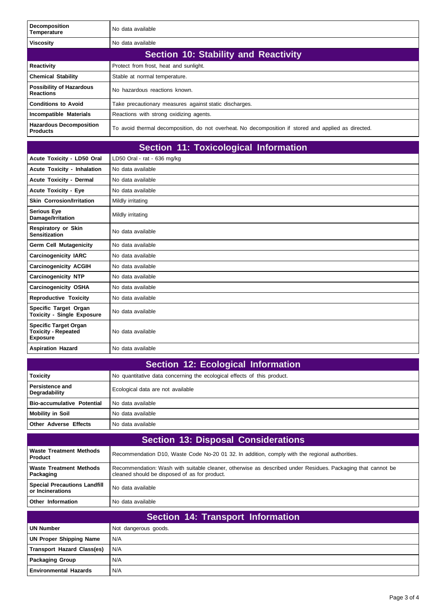| <b>Decomposition</b><br>Temperature                 | No data available                                                                                    |  |
|-----------------------------------------------------|------------------------------------------------------------------------------------------------------|--|
| <b>Viscosity</b>                                    | No data available                                                                                    |  |
| Section 10: Stability and Reactivity                |                                                                                                      |  |
| <b>Reactivity</b>                                   | Protect from frost, heat and sunlight.                                                               |  |
| <b>Chemical Stability</b>                           | Stable at normal temperature.                                                                        |  |
| <b>Possibility of Hazardous</b><br><b>Reactions</b> | No hazardous reactions known.                                                                        |  |
| <b>Conditions to Avoid</b>                          | Take precautionary measures against static discharges.                                               |  |
| Incompatible Materials                              | Reactions with strong oxidizing agents.                                                              |  |
| <b>Hazardous Decomposition</b><br><b>Products</b>   | To avoid thermal decomposition, do not overheat. No decomposition if stored and applied as directed. |  |

|                                                                               | <b>Section 11: Toxicological Information</b> |
|-------------------------------------------------------------------------------|----------------------------------------------|
| Acute Toxicity - LD50 Oral                                                    | LD50 Oral - rat - 636 mg/kg                  |
| <b>Acute Toxicity - Inhalation</b>                                            | No data available                            |
| Acute Toxicity - Dermal                                                       | No data available                            |
| <b>Acute Toxicity - Eye</b>                                                   | No data available                            |
| <b>Skin Corrosion/Irritation</b>                                              | Mildly irritating                            |
| <b>Serious Eye</b><br>Damage/Irritation                                       | Mildly irritating                            |
| <b>Respiratory or Skin</b><br><b>Sensitization</b>                            | No data available                            |
| <b>Germ Cell Mutagenicity</b>                                                 | No data available                            |
| <b>Carcinogenicity IARC</b>                                                   | No data available                            |
| <b>Carcinogenicity ACGIH</b>                                                  | No data available                            |
| <b>Carcinogenicity NTP</b>                                                    | No data available                            |
| <b>Carcinogenicity OSHA</b>                                                   | No data available                            |
| <b>Reproductive Toxicity</b>                                                  | No data available                            |
| Specific Target Organ<br><b>Toxicity - Single Exposure</b>                    | No data available                            |
| <b>Specific Target Organ</b><br><b>Toxicity - Repeated</b><br><b>Exposure</b> | No data available                            |
| <b>Aspiration Hazard</b>                                                      | No data available                            |

| Section 12: Ecological Information      |                                                                         |  |
|-----------------------------------------|-------------------------------------------------------------------------|--|
| <b>Toxicity</b>                         | No quantitative data concerning the ecological effects of this product. |  |
| <b>Persistence and</b><br>Degradability | Ecological data are not available                                       |  |
| <b>Bio-accumulative Potential</b>       | No data available                                                       |  |
| <b>Mobility in Soil</b>                 | No data available                                                       |  |
| <b>Other Adverse Effects</b>            | No data available                                                       |  |

| <b>Section 13: Disposal Considerations</b>              |                                                                                                                                                              |
|---------------------------------------------------------|--------------------------------------------------------------------------------------------------------------------------------------------------------------|
| <b>Waste Treatment Methods</b><br><b>Product</b>        | Recommendation D10, Waste Code No-20 01 32. In addition, comply with the regional authorities.                                                               |
| Waste Treatment Methods<br>  Packaging                  | Recommendation: Wash with suitable cleaner, otherwise as described under Residues. Packaging that cannot be<br>cleaned should be disposed of as for product. |
| <b>Special Precautions Landfill</b><br>or Incinerations | No data available                                                                                                                                            |
| Other Information                                       | No data available                                                                                                                                            |

| Section 14: Transport Information |                      |
|-----------------------------------|----------------------|
| UN Number                         | Not dangerous goods. |
| UN Proper Shipping Name           | N/A                  |
| Transport Hazard Class(es)        | N/A                  |
| <b>Packaging Group</b>            | N/A                  |
| <b>Environmental Hazards</b>      | N/A                  |